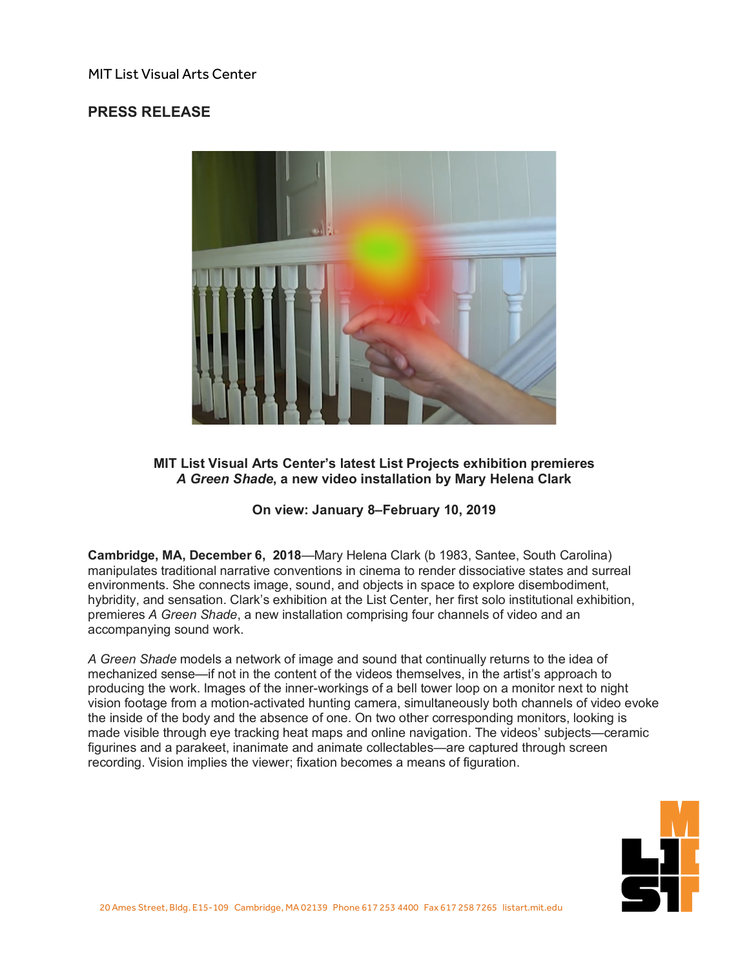## MIT List Visual Arts Center

# **PRESS RELEASE**



### **MIT List Visual Arts Center's latest List Projects exhibition premieres** *A Green Shade***, a new video installation by Mary Helena Clark**

### **On view: January 8–February 10, 2019**

**Cambridge, MA, December 6, 2018**—Mary Helena Clark (b 1983, Santee, South Carolina) manipulates traditional narrative conventions in cinema to render dissociative states and surreal environments. She connects image, sound, and objects in space to explore disembodiment, hybridity, and sensation. Clark's exhibition at the List Center, her first solo institutional exhibition, premieres *A Green Shade*, a new installation comprising four channels of video and an accompanying sound work.

*A Green Shade* models a network of image and sound that continually returns to the idea of mechanized sense—if not in the content of the videos themselves, in the artist's approach to producing the work. Images of the inner-workings of a bell tower loop on a monitor next to night vision footage from a motion-activated hunting camera, simultaneously both channels of video evoke the inside of the body and the absence of one. On two other corresponding monitors, looking is made visible through eye tracking heat maps and online navigation. The videos' subjects—ceramic figurines and a parakeet, inanimate and animate collectables—are captured through screen recording. Vision implies the viewer; fixation becomes a means of figuration.